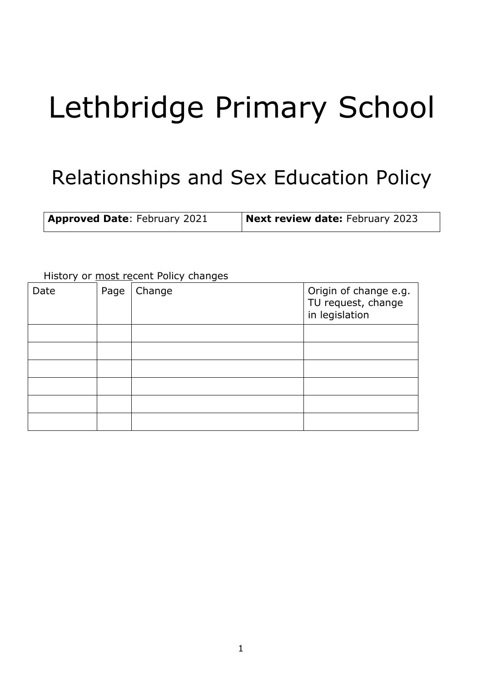# Lethbridge Primary School

# Relationships and Sex Education Policy

| <b>Approved Date: February 2021</b> | Next review date: February 2023 |
|-------------------------------------|---------------------------------|
|-------------------------------------|---------------------------------|

| Date | Page | Change | Origin of change e.g.<br>TU request, change<br>in legislation |
|------|------|--------|---------------------------------------------------------------|
|      |      |        |                                                               |
|      |      |        |                                                               |
|      |      |        |                                                               |
|      |      |        |                                                               |
|      |      |        |                                                               |
|      |      |        |                                                               |

#### History or most recent Policy changes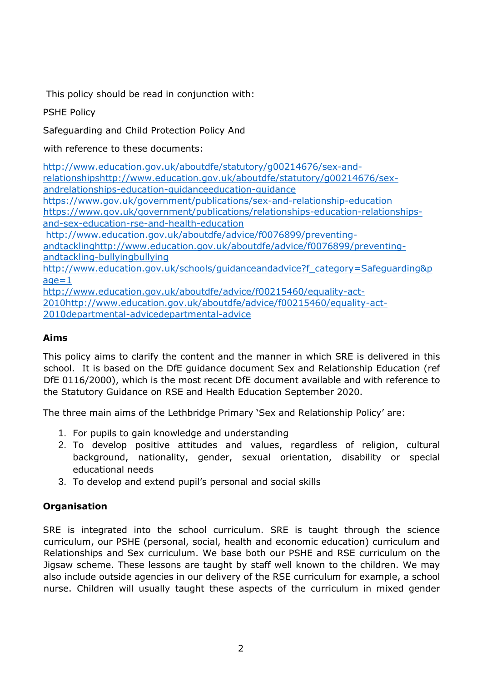This policy should be read in conjunction with:

# PSHE Policy

Safeguarding and Child Protection Policy And

with reference to these documents:

[http://www.education.gov.uk/aboutdfe/statutory/g00214676/sex-and](http://www.education.gov.uk/aboutdfe/statutory/g00214676/sex-and-relationships-education-guidance)[relationshipshttp://www.education.gov.uk/aboutdfe/statutory/g00214676/sex](http://www.education.gov.uk/aboutdfe/statutory/g00214676/sex-and-relationships-education-guidance)[andrelationships-education-guidanceeducation-guidance](http://www.education.gov.uk/aboutdfe/statutory/g00214676/sex-and-relationships-education-guidance)  <https://www.gov.uk/government/publications/sex-and-relationship-education> [https://www.gov.uk/government/publications/relationships-education-relationships](https://www.gov.uk/government/publications/relationships-education-relationships-and-sex-education-rse-and-health-education)[and-sex-education-rse-and-health-education](https://www.gov.uk/government/publications/relationships-education-relationships-and-sex-education-rse-and-health-education) [http://www.education.gov.uk/aboutdfe/advice/f0076899/preventing](http://www.education.gov.uk/aboutdfe/advice/f0076899/preventing-and-tackling-bullying)[andtacklinghttp://www.education.gov.uk/aboutdfe/advice/f0076899/preventing](http://www.education.gov.uk/aboutdfe/advice/f0076899/preventing-and-tackling-bullying)andtackling-bullyingbullying [http://www.education.gov.uk/schools/guidanceandadvice?f\\_category=Safeguarding&p](http://www.education.gov.uk/schools/guidanceandadvice?f_category=Safeguarding&page=1)  $a = 1$ [http://www.education.gov.uk/aboutdfe/advice/f00215460/equality-act-](http://www.education.gov.uk/aboutdfe/advice/f00215460/equality-act-2010-departmental-advice)

[2010http://www.education.gov.uk/aboutdfe/advice/f00215460/equality-act-](http://www.education.gov.uk/aboutdfe/advice/f00215460/equality-act-2010-departmental-advice)[2010departmental-advicedepartmental-advice](http://www.education.gov.uk/aboutdfe/advice/f00215460/equality-act-2010-departmental-advice)

# **Aims**

This policy aims to clarify the content and the manner in which SRE is delivered in this school. It is based on the DfE guidance document Sex and Relationship Education (ref DfE 0116/2000), which is the most recent DfE document available and with reference to the Statutory Guidance on RSE and Health Education September 2020.

The three main aims of the Lethbridge Primary 'Sex and Relationship Policy' are:

- 1. For pupils to gain knowledge and understanding
- 2. To develop positive attitudes and values, regardless of religion, cultural background, nationality, gender, sexual orientation, disability or special educational needs
- 3. To develop and extend pupil's personal and social skills

# **Organisation**

SRE is integrated into the school curriculum. SRE is taught through the science curriculum, our PSHE (personal, social, health and economic education) curriculum and Relationships and Sex curriculum. We base both our PSHE and RSE curriculum on the Jigsaw scheme. These lessons are taught by staff well known to the children. We may also include outside agencies in our delivery of the RSE curriculum for example, a school nurse. Children will usually taught these aspects of the curriculum in mixed gender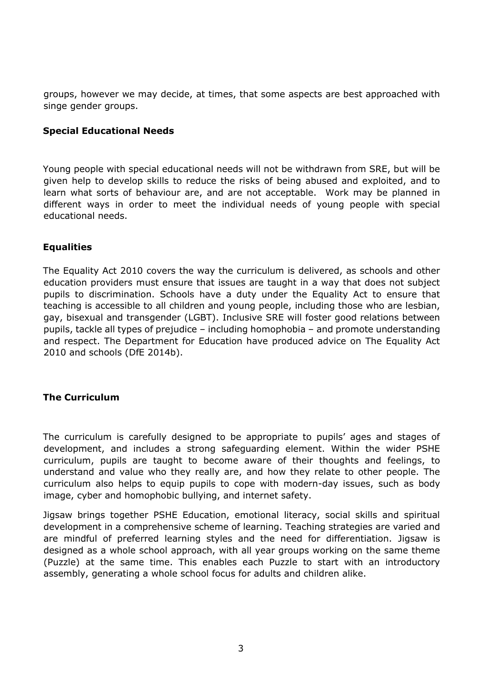groups, however we may decide, at times, that some aspects are best approached with singe gender groups.

#### **Special Educational Needs**

Young people with special educational needs will not be withdrawn from SRE, but will be given help to develop skills to reduce the risks of being abused and exploited, and to learn what sorts of behaviour are, and are not acceptable. Work may be planned in different ways in order to meet the individual needs of young people with special educational needs.

#### **Equalities**

The Equality Act 2010 covers the way the curriculum is delivered, as schools and other education providers must ensure that issues are taught in a way that does not subject pupils to discrimination. Schools have a duty under the Equality Act to ensure that teaching is accessible to all children and young people, including those who are lesbian, gay, bisexual and transgender (LGBT). Inclusive SRE will foster good relations between pupils, tackle all types of prejudice – including homophobia – and promote understanding and respect. The Department for Education have produced advice on The Equality Act 2010 and schools (DfE 2014b).

#### **The Curriculum**

The curriculum is carefully designed to be appropriate to pupils' ages and stages of development, and includes a strong safeguarding element. Within the wider PSHE curriculum, pupils are taught to become aware of their thoughts and feelings, to understand and value who they really are, and how they relate to other people. The curriculum also helps to equip pupils to cope with modern-day issues, such as body image, cyber and homophobic bullying, and internet safety.

Jigsaw brings together PSHE Education, emotional literacy, social skills and spiritual development in a comprehensive scheme of learning. Teaching strategies are varied and are mindful of preferred learning styles and the need for differentiation. Jigsaw is designed as a whole school approach, with all year groups working on the same theme (Puzzle) at the same time. This enables each Puzzle to start with an introductory assembly, generating a whole school focus for adults and children alike.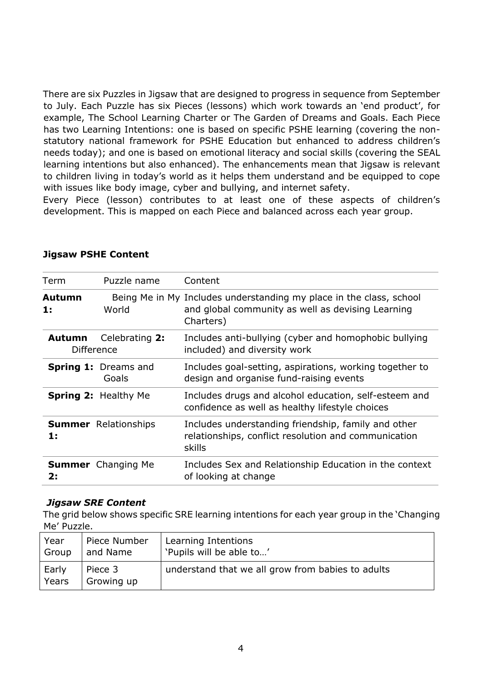There are six Puzzles in Jigsaw that are designed to progress in sequence from September to July. Each Puzzle has six Pieces (lessons) which work towards an 'end product', for example, The School Learning Charter or The Garden of Dreams and Goals. Each Piece has two Learning Intentions: one is based on specific PSHE learning (covering the nonstatutory national framework for PSHE Education but enhanced to address children's needs today); and one is based on emotional literacy and social skills (covering the SEAL learning intentions but also enhanced). The enhancements mean that Jigsaw is relevant to children living in today's world as it helps them understand and be equipped to cope with issues like body image, cyber and bullying, and internet safety.

Every Piece (lesson) contributes to at least one of these aspects of children's development. This is mapped on each Piece and balanced across each year group.

| Term                               | Puzzle name                          | Content                                                                                                                               |
|------------------------------------|--------------------------------------|---------------------------------------------------------------------------------------------------------------------------------------|
| Autumn<br>1:                       | World                                | Being Me in My Includes understanding my place in the class, school<br>and global community as well as devising Learning<br>Charters) |
| <b>Autumn</b><br><b>Difference</b> | Celebrating 2:                       | Includes anti-bullying (cyber and homophobic bullying<br>included) and diversity work                                                 |
|                                    | <b>Spring 1: Dreams and</b><br>Goals | Includes goal-setting, aspirations, working together to<br>design and organise fund-raising events                                    |
|                                    | <b>Spring 2: Healthy Me</b>          | Includes drugs and alcohol education, self-esteem and<br>confidence as well as healthy lifestyle choices                              |
| $\mathbf{1}$ :                     | <b>Summer</b> Relationships          | Includes understanding friendship, family and other<br>relationships, conflict resolution and communication<br>skills                 |
| 2:                                 | <b>Summer</b> Changing Me            | Includes Sex and Relationship Education in the context<br>of looking at change                                                        |

#### **Jigsaw PSHE Content**

#### *Jigsaw SRE Content*

The grid below shows specific SRE learning intentions for each year group in the 'Changing Me' Puzzle.

| Year           | Piece Number          | Learning Intentions                               |
|----------------|-----------------------|---------------------------------------------------|
| Group          | and Name              | 'Pupils will be able to'                          |
| Early<br>Years | Piece 3<br>Growing up | understand that we all grow from babies to adults |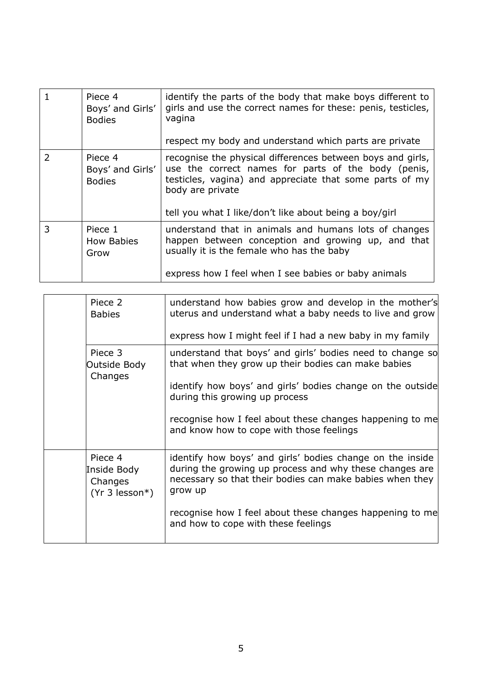|   | Piece 4<br>Boys' and Girls'<br><b>Bodies</b> | identify the parts of the body that make boys different to<br>girls and use the correct names for these: penis, testicles,<br>vagina<br>respect my body and understand which parts are private                                                             |
|---|----------------------------------------------|------------------------------------------------------------------------------------------------------------------------------------------------------------------------------------------------------------------------------------------------------------|
| 2 | Piece 4<br>Boys' and Girls'<br><b>Bodies</b> | recognise the physical differences between boys and girls,<br>use the correct names for parts of the body (penis,<br>testicles, vagina) and appreciate that some parts of my<br>body are private<br>tell you what I like/don't like about being a boy/girl |
| 3 | Piece 1<br><b>How Babies</b><br>Grow         | understand that in animals and humans lots of changes<br>happen between conception and growing up, and that<br>usually it is the female who has the baby<br>express how I feel when I see babies or baby animals                                           |

| Piece 2<br><b>Babies</b>                              | understand how babies grow and develop in the mother's<br>uterus and understand what a baby needs to live and grow<br>express how I might feel if I had a new baby in my family                                                                                                                                          |
|-------------------------------------------------------|--------------------------------------------------------------------------------------------------------------------------------------------------------------------------------------------------------------------------------------------------------------------------------------------------------------------------|
| Piece 3<br>Outside Body<br>Changes                    | understand that boys' and girls' bodies need to change so<br>that when they grow up their bodies can make babies<br>identify how boys' and girls' bodies change on the outside<br>during this growing up process<br>recognise how I feel about these changes happening to me<br>and know how to cope with those feelings |
| Piece 4<br>Inside Body<br>Changes<br>$(Yr 3$ lesson*) | identify how boys' and girls' bodies change on the inside<br>during the growing up process and why these changes are<br>necessary so that their bodies can make babies when they<br>grow up<br>recognise how I feel about these changes happening to me<br>and how to cope with these feelings                           |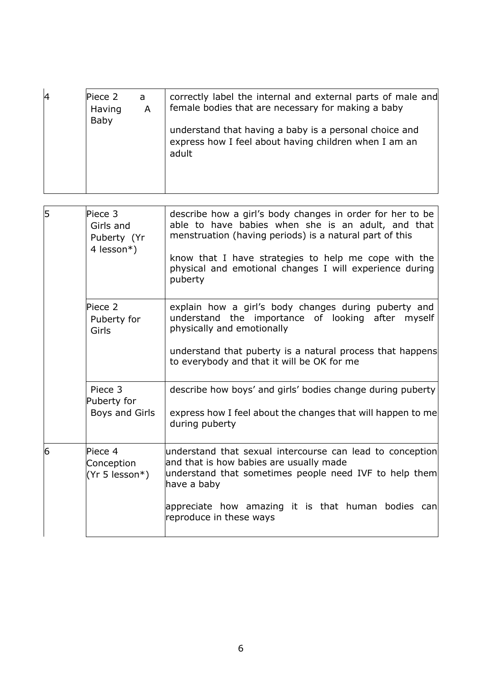| 14 | Piece 2<br>Having<br>Baby | a<br>A | correctly label the internal and external parts of male and<br>female bodies that are necessary for making a baby        |
|----|---------------------------|--------|--------------------------------------------------------------------------------------------------------------------------|
|    |                           |        | understand that having a baby is a personal choice and<br>express how I feel about having children when I am an<br>adult |
|    |                           |        |                                                                                                                          |

| 5 | Piece 3<br>Girls and<br>Puberty (Yr<br>4 lesson*) | describe how a girl's body changes in order for her to be<br>able to have babies when she is an adult, and that<br>menstruation (having periods) is a natural part of this<br>know that I have strategies to help me cope with the<br>physical and emotional changes I will experience during<br>puberty |
|---|---------------------------------------------------|----------------------------------------------------------------------------------------------------------------------------------------------------------------------------------------------------------------------------------------------------------------------------------------------------------|
|   | Piece 2<br>Puberty for<br>Girls                   | explain how a girl's body changes during puberty and<br>understand the importance of looking after myself<br>physically and emotionally                                                                                                                                                                  |
|   |                                                   | understand that puberty is a natural process that happens<br>to everybody and that it will be OK for me                                                                                                                                                                                                  |
|   | Piece 3<br>Puberty for                            | describe how boys' and girls' bodies change during puberty                                                                                                                                                                                                                                               |
|   | Boys and Girls                                    | express how I feel about the changes that will happen to me<br>during puberty                                                                                                                                                                                                                            |
| 6 | Piece 4<br>Conception<br>(Yr 5 lesson*)           | understand that sexual intercourse can lead to conception<br>and that is how babies are usually made<br>understand that sometimes people need IVF to help them<br>have a baby                                                                                                                            |
|   |                                                   | appreciate how amazing it is that human bodies can<br>reproduce in these ways                                                                                                                                                                                                                            |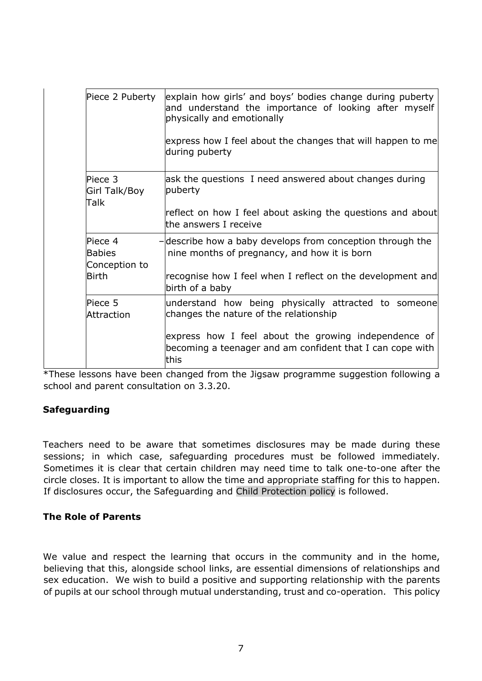| Piece 2 Puberty                           | explain how girls' and boys' bodies change during puberty<br>and understand the importance of looking after myself<br>physically and emotionally |
|-------------------------------------------|--------------------------------------------------------------------------------------------------------------------------------------------------|
|                                           | express how I feel about the changes that will happen to me<br>during puberty                                                                    |
| Piece 3<br>Girl Talk/Boy<br>Talk          | ask the questions I need answered about changes during<br>puberty                                                                                |
|                                           | reflect on how I feel about asking the questions and about<br>the answers I receive                                                              |
| Piece 4<br><b>Babies</b><br>Conception to | -describe how a baby develops from conception through the<br>nine months of pregnancy, and how it is born                                        |
| <b>Birth</b>                              | recognise how I feel when I reflect on the development and<br>birth of a baby                                                                    |
| Piece 5<br>Attraction                     | understand how being physically attracted to someone<br>changes the nature of the relationship                                                   |
|                                           | express how I feel about the growing independence of<br>becoming a teenager and am confident that I can cope with<br>this                        |

\*These lessons have been changed from the Jigsaw programme suggestion following a school and parent consultation on 3.3.20.

#### **Safeguarding**

Teachers need to be aware that sometimes disclosures may be made during these sessions; in which case, safeguarding procedures must be followed immediately. Sometimes it is clear that certain children may need time to talk one-to-one after the circle closes. It is important to allow the time and appropriate staffing for this to happen. If disclosures occur, the Safeguarding and Child Protection policy is followed.

#### **The Role of Parents**

We value and respect the learning that occurs in the community and in the home, believing that this, alongside school links, are essential dimensions of relationships and sex education. We wish to build a positive and supporting relationship with the parents of pupils at our school through mutual understanding, trust and co-operation. This policy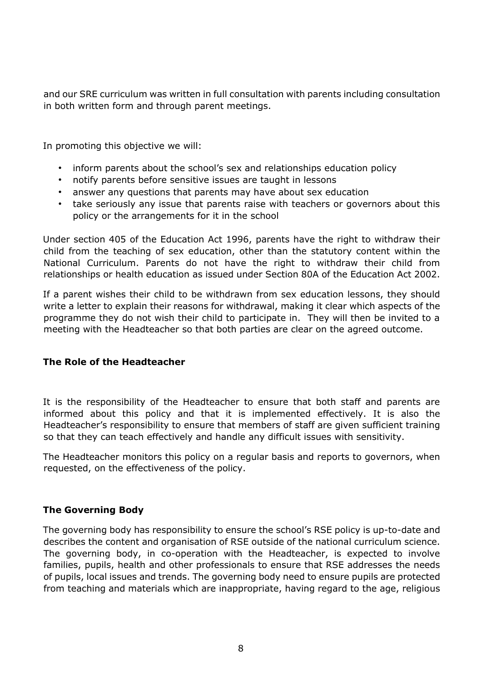and our SRE curriculum was written in full consultation with parents including consultation in both written form and through parent meetings.

In promoting this objective we will:

- inform parents about the school's sex and relationships education policy
- notify parents before sensitive issues are taught in lessons
- answer any questions that parents may have about sex education
- take seriously any issue that parents raise with teachers or governors about this policy or the arrangements for it in the school

Under section 405 of the Education Act 1996, parents have the right to withdraw their child from the teaching of sex education, other than the statutory content within the National Curriculum. Parents do not have the right to withdraw their child from relationships or health education as issued under Section 80A of the Education Act 2002.

If a parent wishes their child to be withdrawn from sex education lessons, they should write a letter to explain their reasons for withdrawal, making it clear which aspects of the programme they do not wish their child to participate in. They will then be invited to a meeting with the Headteacher so that both parties are clear on the agreed outcome.

#### **The Role of the Headteacher**

It is the responsibility of the Headteacher to ensure that both staff and parents are informed about this policy and that it is implemented effectively. It is also the Headteacher's responsibility to ensure that members of staff are given sufficient training so that they can teach effectively and handle any difficult issues with sensitivity.

The Headteacher monitors this policy on a regular basis and reports to governors, when requested, on the effectiveness of the policy.

#### **The Governing Body**

The governing body has responsibility to ensure the school's RSE policy is up-to-date and describes the content and organisation of RSE outside of the national curriculum science. The governing body, in co-operation with the Headteacher, is expected to involve families, pupils, health and other professionals to ensure that RSE addresses the needs of pupils, local issues and trends. The governing body need to ensure pupils are protected from teaching and materials which are inappropriate, having regard to the age, religious